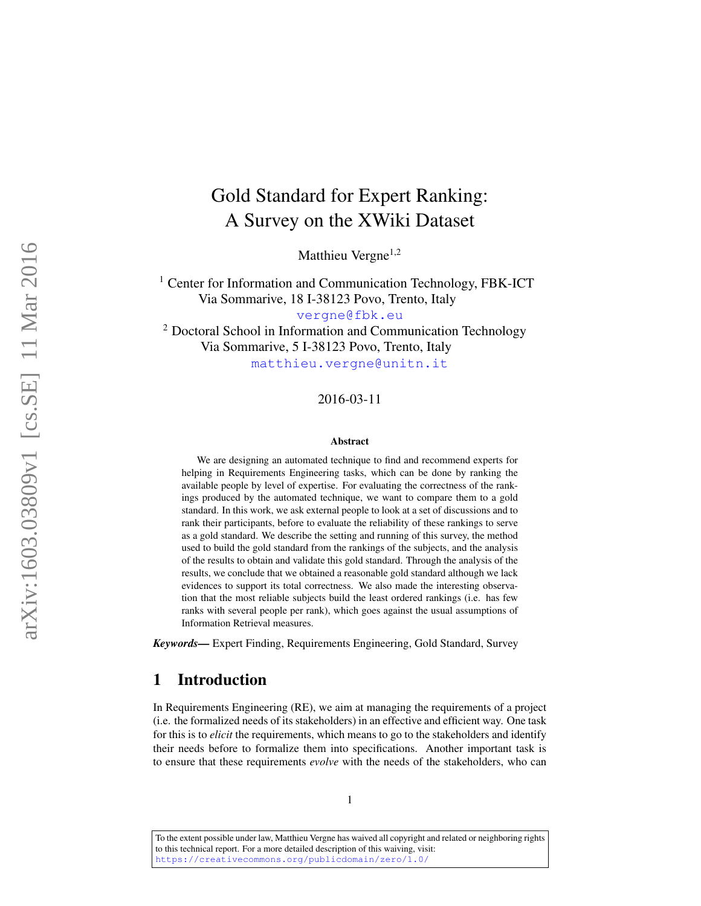# <span id="page-0-0"></span>Gold Standard for Expert Ranking: A Survey on the XWiki Dataset

Matthieu Vergne<sup>1,2</sup>

<sup>1</sup> Center for Information and Communication Technology, FBK-ICT Via Sommarive, 18 I-38123 Povo, Trento, Italy [vergne@fbk.eu](mailto:vergne@fbk.eu) <sup>2</sup> Doctoral School in Information and Communication Technology

Via Sommarive, 5 I-38123 Povo, Trento, Italy

[matthieu.vergne@unitn.it](mailto:matthieu.vergne@unitn.it)

#### 2016-03-11

#### Abstract

We are designing an automated technique to find and recommend experts for helping in Requirements Engineering tasks, which can be done by ranking the available people by level of expertise. For evaluating the correctness of the rankings produced by the automated technique, we want to compare them to a gold standard. In this work, we ask external people to look at a set of discussions and to rank their participants, before to evaluate the reliability of these rankings to serve as a gold standard. We describe the setting and running of this survey, the method used to build the gold standard from the rankings of the subjects, and the analysis of the results to obtain and validate this gold standard. Through the analysis of the results, we conclude that we obtained a reasonable gold standard although we lack evidences to support its total correctness. We also made the interesting observation that the most reliable subjects build the least ordered rankings (i.e. has few ranks with several people per rank), which goes against the usual assumptions of Information Retrieval measures.

*Keywords—* Expert Finding, Requirements Engineering, Gold Standard, Survey

# 1 Introduction

In Requirements Engineering (RE), we aim at managing the requirements of a project (i.e. the formalized needs of its stakeholders) in an effective and efficient way. One task for this is to *elicit* the requirements, which means to go to the stakeholders and identify their needs before to formalize them into specifications. Another important task is to ensure that these requirements *evolve* with the needs of the stakeholders, who can

To the extent possible under law, Matthieu Vergne has waived all copyright and related or neighboring rights to this technical report. For a more detailed description of this waiving, visit: <https://creativecommons.org/publicdomain/zero/1.0/>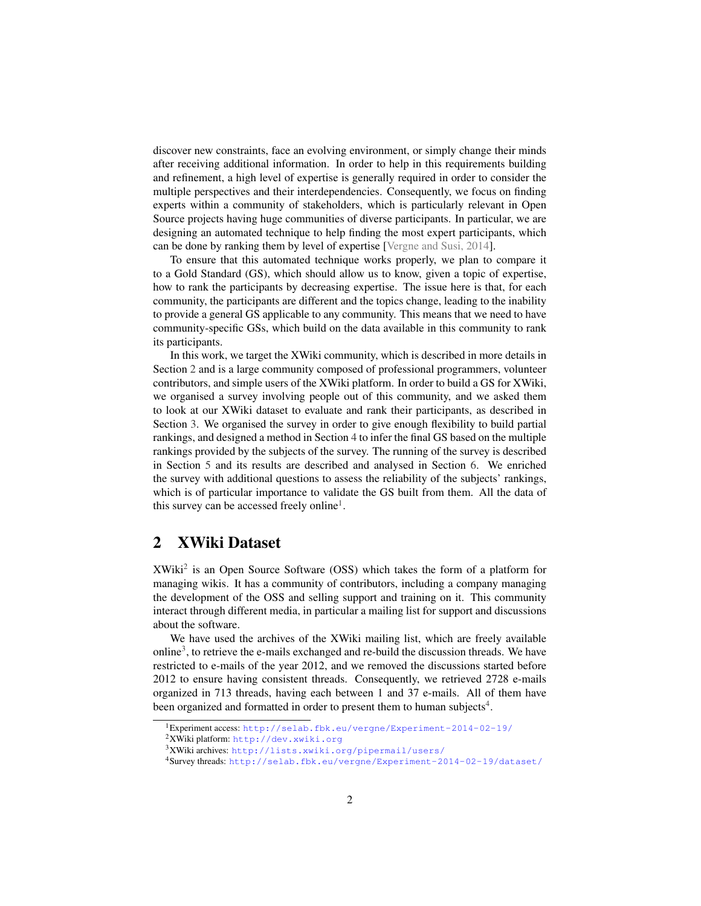discover new constraints, face an evolving environment, or simply change their minds after receiving additional information. In order to help in this requirements building and refinement, a high level of expertise is generally required in order to consider the multiple perspectives and their interdependencies. Consequently, we focus on finding experts within a community of stakeholders, which is particularly relevant in Open Source projects having huge communities of diverse participants. In particular, we are designing an automated technique to help finding the most expert participants, which can be done by ranking them by level of expertise [\[Vergne and Susi, 2014\]](#page-20-0).

To ensure that this automated technique works properly, we plan to compare it to a Gold Standard (GS), which should allow us to know, given a topic of expertise, how to rank the participants by decreasing expertise. The issue here is that, for each community, the participants are different and the topics change, leading to the inability to provide a general GS applicable to any community. This means that we need to have community-specific GSs, which build on the data available in this community to rank its participants.

In this work, we target the XWiki community, which is described in more details in Section [2](#page-1-0) and is a large community composed of professional programmers, volunteer contributors, and simple users of the XWiki platform. In order to build a GS for XWiki, we organised a survey involving people out of this community, and we asked them to look at our XWiki dataset to evaluate and rank their participants, as described in Section [3.](#page-2-0) We organised the survey in order to give enough flexibility to build partial rankings, and designed a method in Section [4](#page-5-0) to infer the final GS based on the multiple rankings provided by the subjects of the survey. The running of the survey is described in Section [5](#page-8-0) and its results are described and analysed in Section [6.](#page-9-0) We enriched the survey with additional questions to assess the reliability of the subjects' rankings, which is of particular importance to validate the GS built from them. All the data of this survey can be accessed freely online<sup>[1](#page-1-1)</sup>.

# <span id="page-1-0"></span>2 XWiki Dataset

XWiki[2](#page-1-2) is an Open Source Software (OSS) which takes the form of a platform for managing wikis. It has a community of contributors, including a company managing the development of the OSS and selling support and training on it. This community interact through different media, in particular a mailing list for support and discussions about the software.

We have used the archives of the XWiki mailing list, which are freely available  $\text{online}^3$  $\text{online}^3$ , to retrieve the e-mails exchanged and re-build the discussion threads. We have restricted to e-mails of the year 2012, and we removed the discussions started before 2012 to ensure having consistent threads. Consequently, we retrieved 2728 e-mails organized in 713 threads, having each between 1 and 37 e-mails. All of them have been organized and formatted in order to present them to human subjects<sup>[4](#page-1-4)</sup>.

<span id="page-1-1"></span><sup>1</sup>Experiment access: <http://selab.fbk.eu/vergne/Experiment-2014-02-19/>

<span id="page-1-2"></span><sup>2</sup>XWiki platform: <http://dev.xwiki.org>

<span id="page-1-3"></span><sup>3</sup>XWiki archives: <http://lists.xwiki.org/pipermail/users/>

<span id="page-1-4"></span><sup>4</sup>Survey threads: <http://selab.fbk.eu/vergne/Experiment-2014-02-19/dataset/>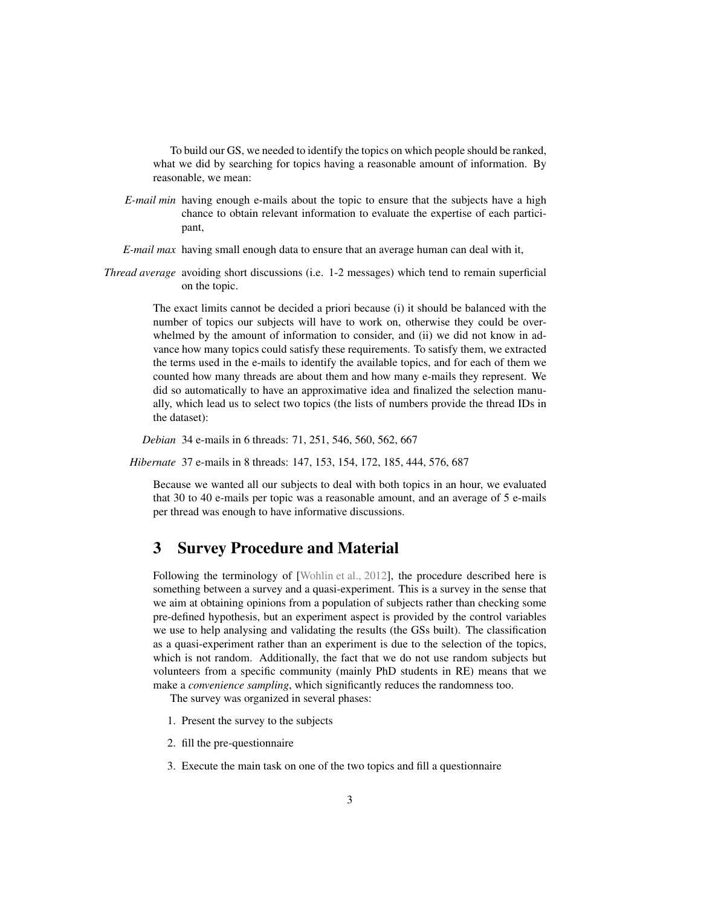To build our GS, we needed to identify the topics on which people should be ranked, what we did by searching for topics having a reasonable amount of information. By reasonable, we mean:

*E-mail min* having enough e-mails about the topic to ensure that the subjects have a high chance to obtain relevant information to evaluate the expertise of each participant,

*E-mail max* having small enough data to ensure that an average human can deal with it,

*Thread average* avoiding short discussions (i.e. 1-2 messages) which tend to remain superficial on the topic.

> The exact limits cannot be decided a priori because (i) it should be balanced with the number of topics our subjects will have to work on, otherwise they could be overwhelmed by the amount of information to consider, and (ii) we did not know in advance how many topics could satisfy these requirements. To satisfy them, we extracted the terms used in the e-mails to identify the available topics, and for each of them we counted how many threads are about them and how many e-mails they represent. We did so automatically to have an approximative idea and finalized the selection manually, which lead us to select two topics (the lists of numbers provide the thread IDs in the dataset):

*Debian* 34 e-mails in 6 threads: 71, 251, 546, 560, 562, 667

*Hibernate* 37 e-mails in 8 threads: 147, 153, 154, 172, 185, 444, 576, 687

Because we wanted all our subjects to deal with both topics in an hour, we evaluated that 30 to 40 e-mails per topic was a reasonable amount, and an average of 5 e-mails per thread was enough to have informative discussions.

# <span id="page-2-0"></span>3 Survey Procedure and Material

Following the terminology of [\[Wohlin et al., 2012\]](#page-20-1), the procedure described here is something between a survey and a quasi-experiment. This is a survey in the sense that we aim at obtaining opinions from a population of subjects rather than checking some pre-defined hypothesis, but an experiment aspect is provided by the control variables we use to help analysing and validating the results (the GSs built). The classification as a quasi-experiment rather than an experiment is due to the selection of the topics, which is not random. Additionally, the fact that we do not use random subjects but volunteers from a specific community (mainly PhD students in RE) means that we make a *convenience sampling*, which significantly reduces the randomness too.

The survey was organized in several phases:

- 1. Present the survey to the subjects
- 2. fill the pre-questionnaire
- 3. Execute the main task on one of the two topics and fill a questionnaire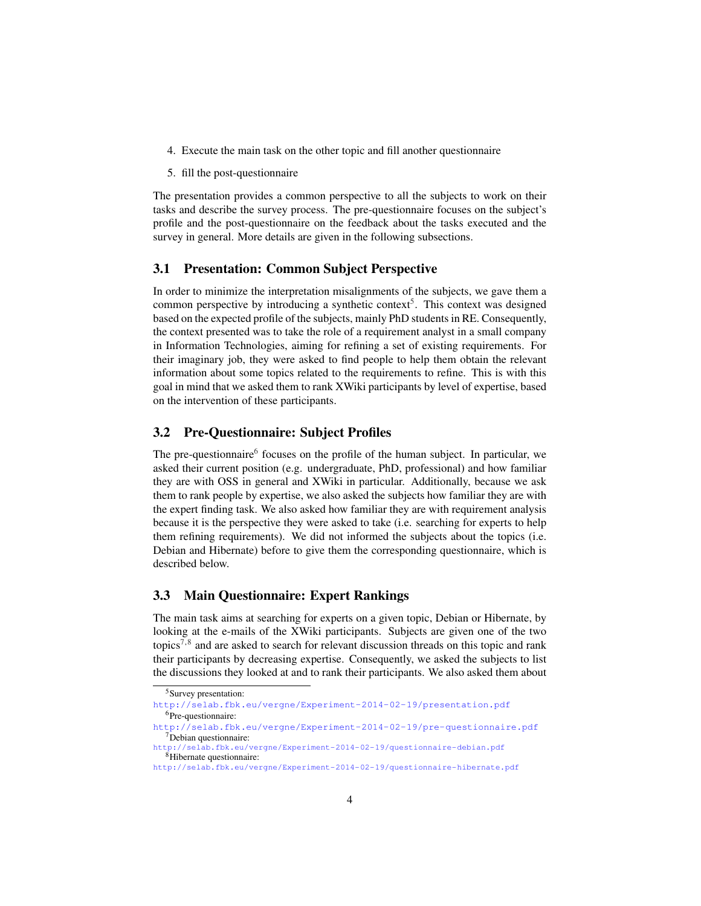- 4. Execute the main task on the other topic and fill another questionnaire
- 5. fill the post-questionnaire

The presentation provides a common perspective to all the subjects to work on their tasks and describe the survey process. The pre-questionnaire focuses on the subject's profile and the post-questionnaire on the feedback about the tasks executed and the survey in general. More details are given in the following subsections.

## 3.1 Presentation: Common Subject Perspective

In order to minimize the interpretation misalignments of the subjects, we gave them a common perspective by introducing a synthetic context<sup>[5](#page-3-0)</sup>. This context was designed based on the expected profile of the subjects, mainly PhD students in RE. Consequently, the context presented was to take the role of a requirement analyst in a small company in Information Technologies, aiming for refining a set of existing requirements. For their imaginary job, they were asked to find people to help them obtain the relevant information about some topics related to the requirements to refine. This is with this goal in mind that we asked them to rank XWiki participants by level of expertise, based on the intervention of these participants.

#### 3.2 Pre-Questionnaire: Subject Profiles

The pre-questionnaire<sup>[6](#page-3-1)</sup> focuses on the profile of the human subject. In particular, we asked their current position (e.g. undergraduate, PhD, professional) and how familiar they are with OSS in general and XWiki in particular. Additionally, because we ask them to rank people by expertise, we also asked the subjects how familiar they are with the expert finding task. We also asked how familiar they are with requirement analysis because it is the perspective they were asked to take (i.e. searching for experts to help them refining requirements). We did not informed the subjects about the topics (i.e. Debian and Hibernate) before to give them the corresponding questionnaire, which is described below.

## 3.3 Main Questionnaire: Expert Rankings

The main task aims at searching for experts on a given topic, Debian or Hibernate, by looking at the e-mails of the XWiki participants. Subjects are given one of the two topics<sup>[7,](#page-3-2)[8](#page-3-3)</sup> and are asked to search for relevant discussion threads on this topic and rank their participants by decreasing expertise. Consequently, we asked the subjects to list the discussions they looked at and to rank their participants. We also asked them about

<span id="page-3-0"></span><sup>5</sup>Survey presentation:

<span id="page-3-1"></span><http://selab.fbk.eu/vergne/Experiment-2014-02-19/presentation.pdf> <sup>6</sup>Pre-questionnaire:

<span id="page-3-2"></span><http://selab.fbk.eu/vergne/Experiment-2014-02-19/pre-questionnaire.pdf> <sup>7</sup>Debian questionnaire:

<span id="page-3-3"></span><http://selab.fbk.eu/vergne/Experiment-2014-02-19/questionnaire-debian.pdf> <sup>8</sup>Hibernate questionnaire:

<http://selab.fbk.eu/vergne/Experiment-2014-02-19/questionnaire-hibernate.pdf>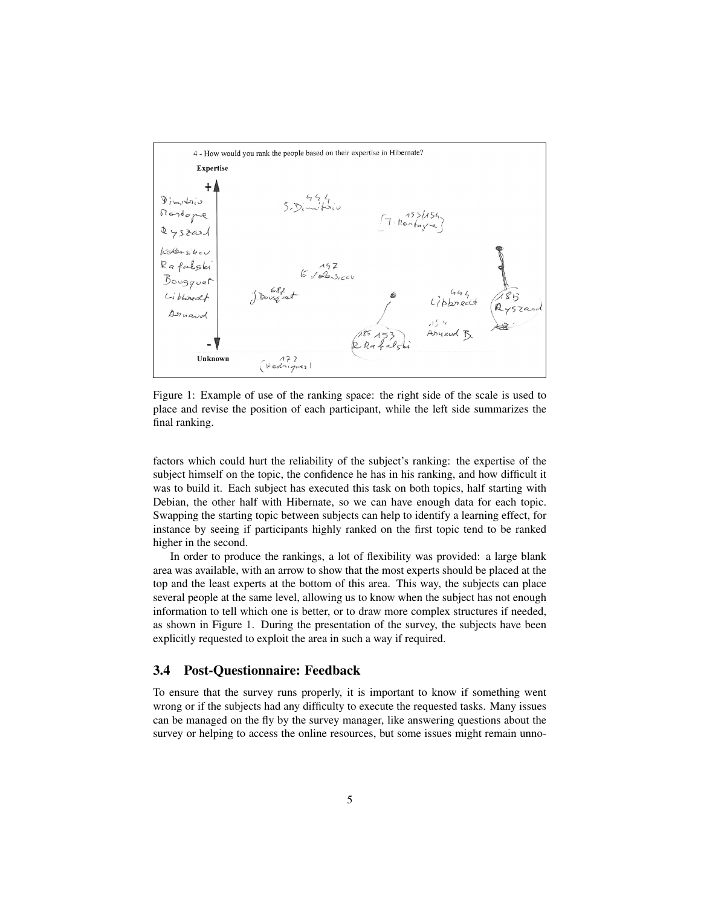<span id="page-4-0"></span>

Figure 1: Example of use of the ranking space: the right side of the scale is used to place and revise the position of each participant, while the left side summarizes the final ranking.

factors which could hurt the reliability of the subject's ranking: the expertise of the subject himself on the topic, the confidence he has in his ranking, and how difficult it was to build it. Each subject has executed this task on both topics, half starting with Debian, the other half with Hibernate, so we can have enough data for each topic. Swapping the starting topic between subjects can help to identify a learning effect, for instance by seeing if participants highly ranked on the first topic tend to be ranked higher in the second.

In order to produce the rankings, a lot of flexibility was provided: a large blank area was available, with an arrow to show that the most experts should be placed at the top and the least experts at the bottom of this area. This way, the subjects can place several people at the same level, allowing us to know when the subject has not enough information to tell which one is better, or to draw more complex structures if needed, as shown in Figure [1.](#page-4-0) During the presentation of the survey, the subjects have been explicitly requested to exploit the area in such a way if required.

#### 3.4 Post-Questionnaire: Feedback

To ensure that the survey runs properly, it is important to know if something went wrong or if the subjects had any difficulty to execute the requested tasks. Many issues can be managed on the fly by the survey manager, like answering questions about the survey or helping to access the online resources, but some issues might remain unno-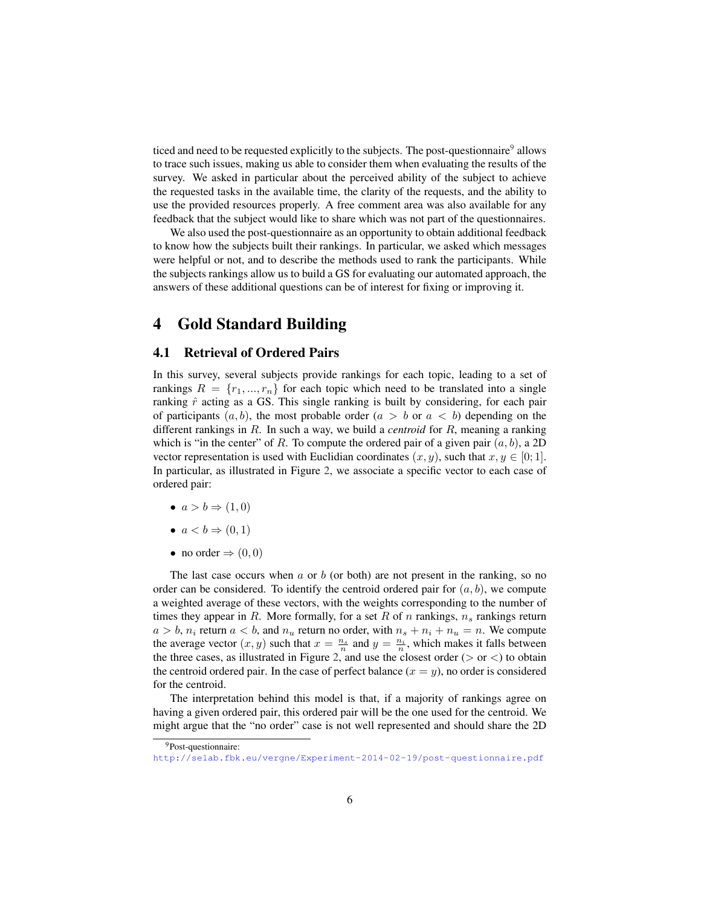ticed and need to be requested explicitly to the subjects. The post-questionnaire<sup>[9](#page-5-1)</sup> allows to trace such issues, making us able to consider them when evaluating the results of the survey. We asked in particular about the perceived ability of the subject to achieve the requested tasks in the available time, the clarity of the requests, and the ability to use the provided resources properly. A free comment area was also available for any feedback that the subject would like to share which was not part of the questionnaires.

We also used the post-questionnaire as an opportunity to obtain additional feedback to know how the subjects built their rankings. In particular, we asked which messages were helpful or not, and to describe the methods used to rank the participants. While the subjects rankings allow us to build a GS for evaluating our automated approach, the answers of these additional questions can be of interest for fixing or improving it.

# <span id="page-5-0"></span>4 Gold Standard Building

## 4.1 Retrieval of Ordered Pairs

In this survey, several subjects provide rankings for each topic, leading to a set of rankings  $R = \{r_1, ..., r_n\}$  for each topic which need to be translated into a single ranking  $\hat{r}$  acting as a GS. This single ranking is built by considering, for each pair of participants  $(a, b)$ , the most probable order  $(a > b \text{ or } a < b)$  depending on the different rankings in R. In such a way, we build a *centroid* for R, meaning a ranking which is "in the center" of R. To compute the ordered pair of a given pair  $(a, b)$ , a 2D vector representation is used with Euclidian coordinates  $(x, y)$ , such that  $x, y \in [0, 1]$ . In particular, as illustrated in Figure [2,](#page-6-0) we associate a specific vector to each case of ordered pair:

- $a > b \Rightarrow (1, 0)$
- $a < b \Rightarrow (0, 1)$
- no order  $\Rightarrow$   $(0, 0)$

The last case occurs when  $a$  or  $b$  (or both) are not present in the ranking, so no order can be considered. To identify the centroid ordered pair for  $(a, b)$ , we compute a weighted average of these vectors, with the weights corresponding to the number of times they appear in R. More formally, for a set R of  $n$  rankings,  $n_s$  rankings return  $a > b$ ,  $n_i$  return  $a < b$ , and  $n_u$  return no order, with  $n_s + n_i + n_u = n$ . We compute the average vector  $(x, y)$  such that  $x = \frac{n_s}{n}$  and  $y = \frac{n_i}{n}$ , which makes it falls between the three cases, as illustrated in Figure [2,](#page-6-0) and use the closest order ( $>$  or  $<$ ) to obtain the centroid ordered pair. In the case of perfect balance  $(x = y)$ , no order is considered for the centroid.

The interpretation behind this model is that, if a majority of rankings agree on having a given ordered pair, this ordered pair will be the one used for the centroid. We might argue that the "no order" case is not well represented and should share the 2D

<span id="page-5-1"></span><sup>9</sup>Post-questionnaire:

<http://selab.fbk.eu/vergne/Experiment-2014-02-19/post-questionnaire.pdf>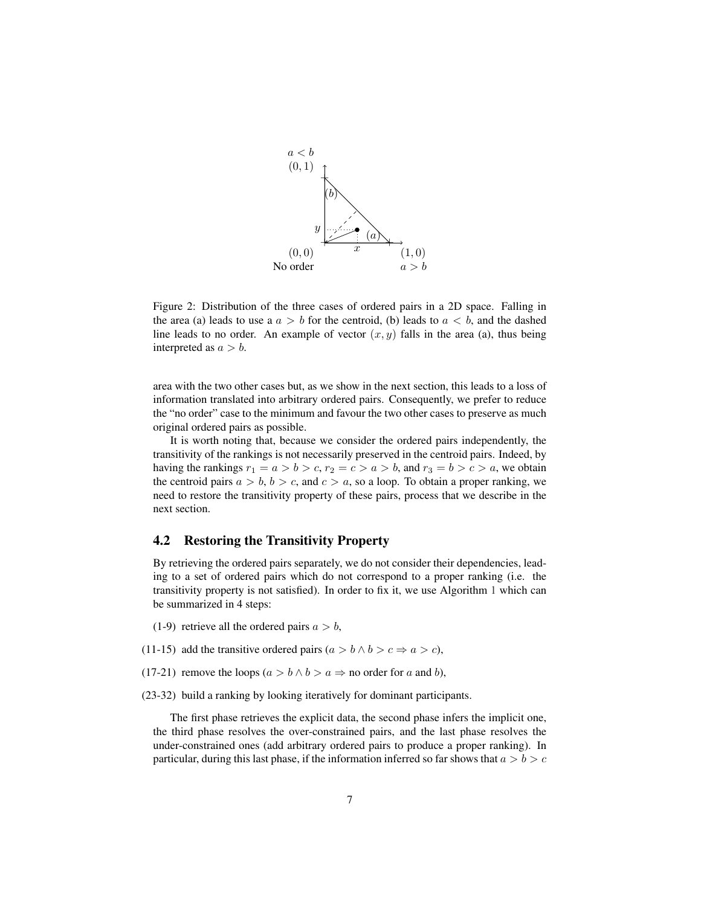<span id="page-6-0"></span>

Figure 2: Distribution of the three cases of ordered pairs in a 2D space. Falling in the area (a) leads to use a  $a > b$  for the centroid, (b) leads to  $a < b$ , and the dashed line leads to no order. An example of vector  $(x, y)$  falls in the area (a), thus being interpreted as  $a > b$ .

area with the two other cases but, as we show in the next section, this leads to a loss of information translated into arbitrary ordered pairs. Consequently, we prefer to reduce the "no order" case to the minimum and favour the two other cases to preserve as much original ordered pairs as possible.

It is worth noting that, because we consider the ordered pairs independently, the transitivity of the rankings is not necessarily preserved in the centroid pairs. Indeed, by having the rankings  $r_1 = a > b > c$ ,  $r_2 = c > a > b$ , and  $r_3 = b > c > a$ , we obtain the centroid pairs  $a > b$ ,  $b > c$ , and  $c > a$ , so a loop. To obtain a proper ranking, we need to restore the transitivity property of these pairs, process that we describe in the next section.

## 4.2 Restoring the Transitivity Property

By retrieving the ordered pairs separately, we do not consider their dependencies, leading to a set of ordered pairs which do not correspond to a proper ranking (i.e. the transitivity property is not satisfied). In order to fix it, we use Algorithm [1](#page-0-0) which can be summarized in 4 steps:

- (1-9) retrieve all the ordered pairs  $a > b$ ,
- (11-15) add the transitive ordered pairs  $(a > b \land b > c \Rightarrow a > c)$ ,

(17-21) remove the loops ( $a > b \land b > a \Rightarrow$  no order for a and b),

(23-32) build a ranking by looking iteratively for dominant participants.

The first phase retrieves the explicit data, the second phase infers the implicit one, the third phase resolves the over-constrained pairs, and the last phase resolves the under-constrained ones (add arbitrary ordered pairs to produce a proper ranking). In particular, during this last phase, if the information inferred so far shows that  $a > b > c$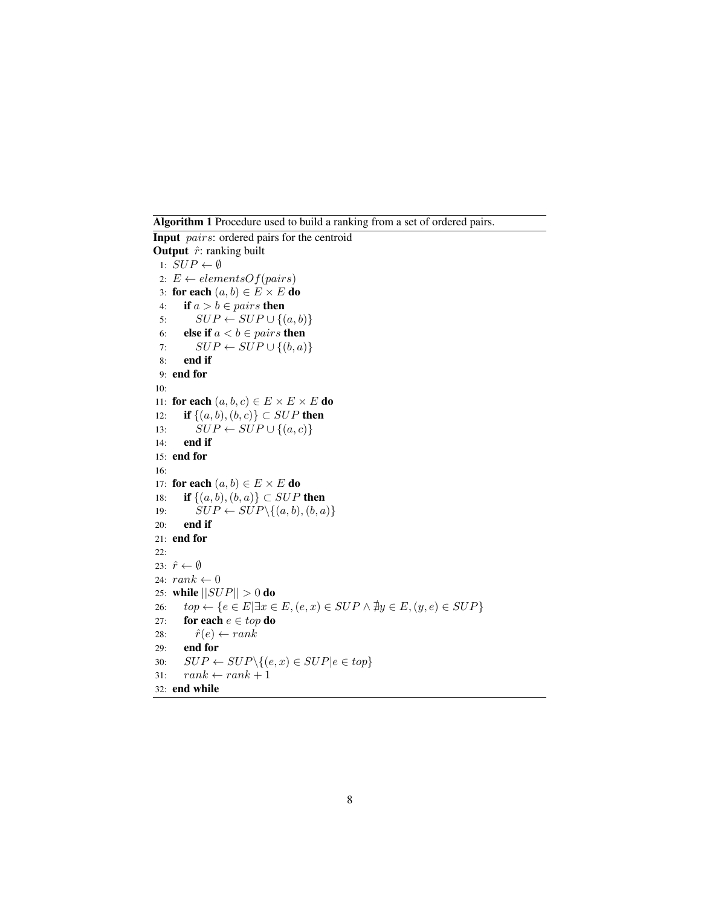Algorithm 1 Procedure used to build a ranking from a set of ordered pairs.

**Input** pairs: ordered pairs for the centroid Output  $\hat{r}$ : ranking built 1:  $SUP \leftarrow \emptyset$ 2:  $E \leftarrow elementsOf(pairs)$ 3: for each  $(a, b) \in E \times E$  do 4: **if**  $a > b \in pairs$  then 5:  $SUP \leftarrow SUP \cup \{(a, b)\}$ 6: **else if**  $a < b \in pairs$  then 7:  $SUP \leftarrow SUP \cup \{(b, a)\}$ 8: end if 9: end for 10: 11: for each  $(a, b, c) \in E \times E \times E$  do 12: **if**  $\{(a, b), (b, c)\}\subset \text{SUP}$  then 13:  $SUP \leftarrow SUP \cup \{(a, c)\}$ 14: end if 15: end for 16: 17: for each  $(a, b) \in E \times E$  do 18: **if**  $\{(a, b), (b, a)\}\subset \text{SUP}$  then 19:  $SUP \leftarrow SUP \setminus \{(a, b), (b, a)\}$ 20: end if 21: end for 22: 23:  $\hat{r} \leftarrow \emptyset$ 24:  $rank \leftarrow 0$ 25: while  $||SUP|| > 0$  do 26:  $top \leftarrow \{e \in E | \exists x \in E, (e, x) \in SUP \land \nexists y \in E, (y, e) \in SUP\}$ 27: for each  $e \in top$  do 28:  $\hat{r}(e) \leftarrow rank$ 29: end for 30:  $SUP \leftarrow SUP \setminus \{(e, x) \in SUP | e \in top\}$ 31:  $rank \leftarrow rank + 1$ 32: end while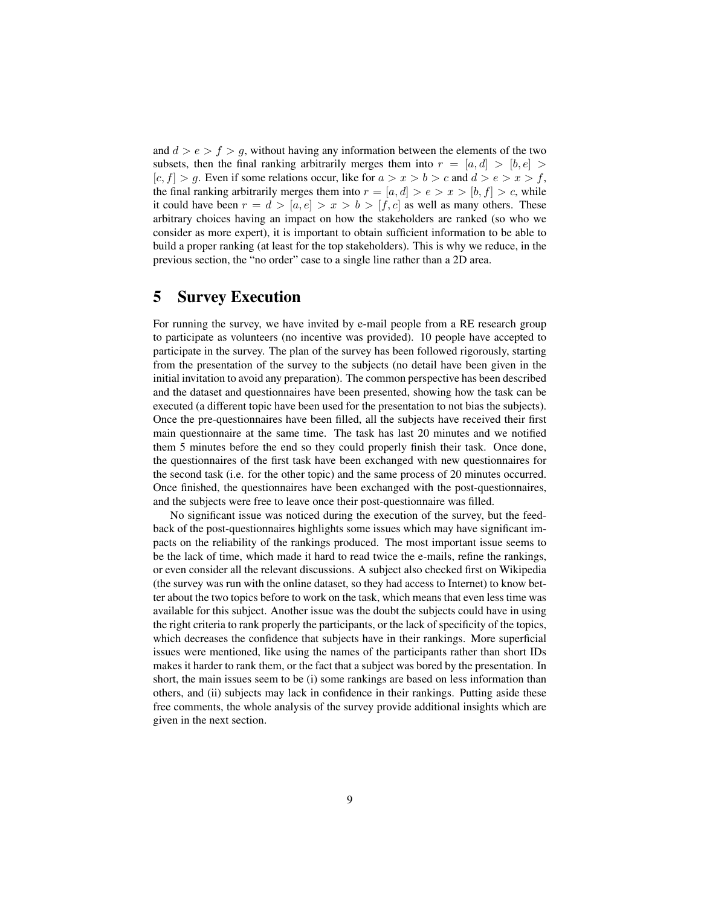and  $d > e > f > g$ , without having any information between the elements of the two subsets, then the final ranking arbitrarily merges them into  $r = [a, d] > [b, e] >$  $[c, f] > g$ . Even if some relations occur, like for  $a > x > b > c$  and  $d > e > x > f$ , the final ranking arbitrarily merges them into  $r = [a, d] > e > x > [b, f] > c$ , while it could have been  $r = d > [a, e] > x > b > [f, c]$  as well as many others. These arbitrary choices having an impact on how the stakeholders are ranked (so who we consider as more expert), it is important to obtain sufficient information to be able to build a proper ranking (at least for the top stakeholders). This is why we reduce, in the previous section, the "no order" case to a single line rather than a 2D area.

# <span id="page-8-0"></span>5 Survey Execution

For running the survey, we have invited by e-mail people from a RE research group to participate as volunteers (no incentive was provided). 10 people have accepted to participate in the survey. The plan of the survey has been followed rigorously, starting from the presentation of the survey to the subjects (no detail have been given in the initial invitation to avoid any preparation). The common perspective has been described and the dataset and questionnaires have been presented, showing how the task can be executed (a different topic have been used for the presentation to not bias the subjects). Once the pre-questionnaires have been filled, all the subjects have received their first main questionnaire at the same time. The task has last 20 minutes and we notified them 5 minutes before the end so they could properly finish their task. Once done, the questionnaires of the first task have been exchanged with new questionnaires for the second task (i.e. for the other topic) and the same process of 20 minutes occurred. Once finished, the questionnaires have been exchanged with the post-questionnaires, and the subjects were free to leave once their post-questionnaire was filled.

No significant issue was noticed during the execution of the survey, but the feedback of the post-questionnaires highlights some issues which may have significant impacts on the reliability of the rankings produced. The most important issue seems to be the lack of time, which made it hard to read twice the e-mails, refine the rankings, or even consider all the relevant discussions. A subject also checked first on Wikipedia (the survey was run with the online dataset, so they had access to Internet) to know better about the two topics before to work on the task, which means that even less time was available for this subject. Another issue was the doubt the subjects could have in using the right criteria to rank properly the participants, or the lack of specificity of the topics, which decreases the confidence that subjects have in their rankings. More superficial issues were mentioned, like using the names of the participants rather than short IDs makes it harder to rank them, or the fact that a subject was bored by the presentation. In short, the main issues seem to be (i) some rankings are based on less information than others, and (ii) subjects may lack in confidence in their rankings. Putting aside these free comments, the whole analysis of the survey provide additional insights which are given in the next section.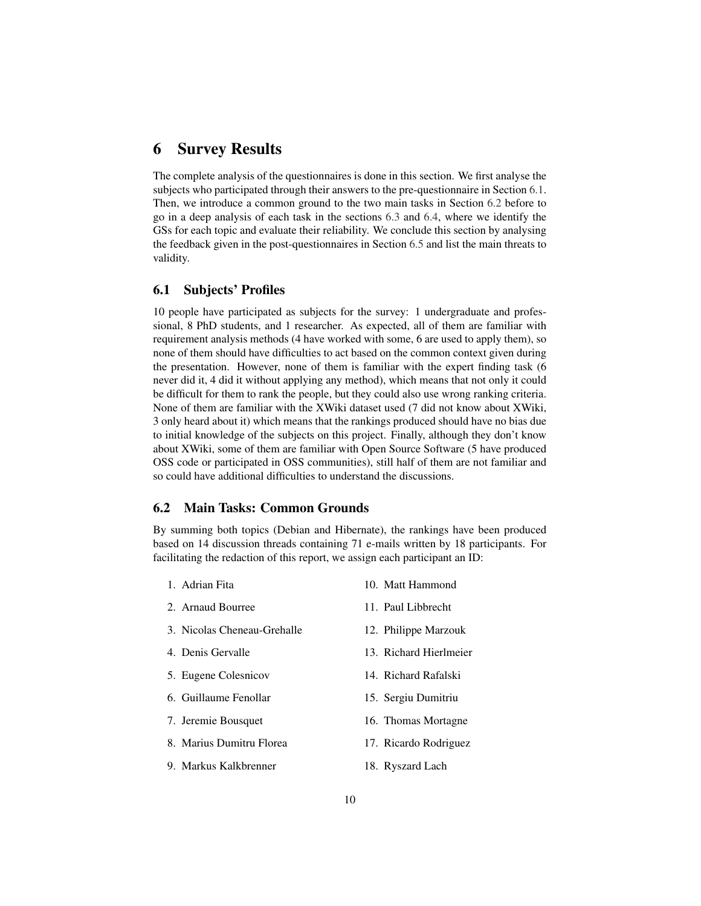# <span id="page-9-0"></span>6 Survey Results

The complete analysis of the questionnaires is done in this section. We first analyse the subjects who participated through their answers to the pre-questionnaire in Section [6.1.](#page-9-1) Then, we introduce a common ground to the two main tasks in Section [6.2](#page-9-2) before to go in a deep analysis of each task in the sections [6.3](#page-10-0) and [6.4,](#page-14-0) where we identify the GSs for each topic and evaluate their reliability. We conclude this section by analysing the feedback given in the post-questionnaires in Section [6.5](#page-17-0) and list the main threats to validity.

## <span id="page-9-1"></span>6.1 Subjects' Profiles

10 people have participated as subjects for the survey: 1 undergraduate and professional, 8 PhD students, and 1 researcher. As expected, all of them are familiar with requirement analysis methods (4 have worked with some, 6 are used to apply them), so none of them should have difficulties to act based on the common context given during the presentation. However, none of them is familiar with the expert finding task (6 never did it, 4 did it without applying any method), which means that not only it could be difficult for them to rank the people, but they could also use wrong ranking criteria. None of them are familiar with the XWiki dataset used (7 did not know about XWiki, 3 only heard about it) which means that the rankings produced should have no bias due to initial knowledge of the subjects on this project. Finally, although they don't know about XWiki, some of them are familiar with Open Source Software (5 have produced OSS code or participated in OSS communities), still half of them are not familiar and so could have additional difficulties to understand the discussions.

#### <span id="page-9-2"></span>6.2 Main Tasks: Common Grounds

By summing both topics (Debian and Hibernate), the rankings have been produced based on 14 discussion threads containing 71 e-mails written by 18 participants. For facilitating the redaction of this report, we assign each participant an ID:

| 1. Adrian Fita              | 10. Matt Hammond       |
|-----------------------------|------------------------|
| 2. Arnaud Bourree           | 11. Paul Libbrecht     |
| 3. Nicolas Cheneau-Grehalle | 12. Philippe Marzouk   |
| 4. Denis Gervalle           | 13. Richard Hierlmeier |
| 5. Eugene Colesnicov        | 14. Richard Rafalski   |
| 6. Guillaume Fenollar       | 15. Sergiu Dumitriu    |
| 7. Jeremie Bousquet         | 16. Thomas Mortagne    |
| 8. Marius Dumitru Florea    | 17. Ricardo Rodriguez  |

- 9. Markus Kalkbrenner
- 18. Ryszard Lach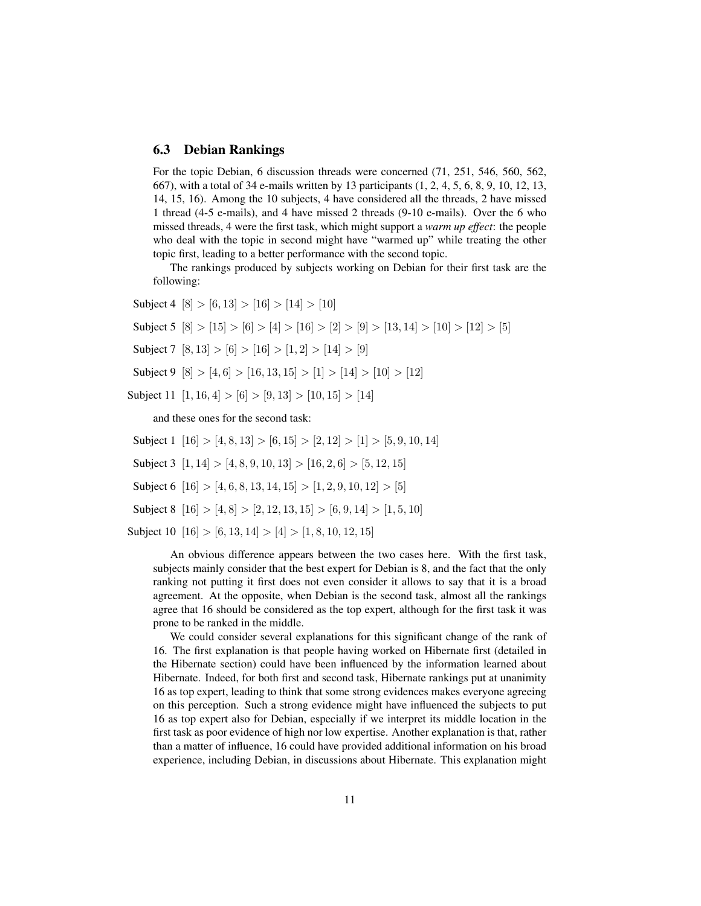#### <span id="page-10-0"></span>6.3 Debian Rankings

For the topic Debian, 6 discussion threads were concerned (71, 251, 546, 560, 562, 667), with a total of 34 e-mails written by 13 participants (1, 2, 4, 5, 6, 8, 9, 10, 12, 13, 14, 15, 16). Among the 10 subjects, 4 have considered all the threads, 2 have missed 1 thread (4-5 e-mails), and 4 have missed 2 threads (9-10 e-mails). Over the 6 who missed threads, 4 were the first task, which might support a *warm up effect*: the people who deal with the topic in second might have "warmed up" while treating the other topic first, leading to a better performance with the second topic.

The rankings produced by subjects working on Debian for their first task are the following:

Subject 4  $[8] > [6, 13] > [16] > [14] > [10]$ 

Subject 5  $[8] > [15] > [6] > [4] > [16] > [2] > [9] > [13, 14] > [10] > [12] > [5]$ 

Subject 7  $[8, 13] > [6] > [16] > [1, 2] > [14] > [9]$ 

Subject 9  $[8] > [4, 6] > [16, 13, 15] > [1] > [14] > [10] > [12]$ 

Subject 11  $[1, 16, 4] > [6] > [9, 13] > [10, 15] > [14]$ 

and these ones for the second task:

Subject 1 [16] > [4, 8, 13] > [6, 15] > [2, 12] > [1] > [5, 9, 10, 14]

Subject 3  $[1, 14] > [4, 8, 9, 10, 13] > [16, 2, 6] > [5, 12, 15]$ 

Subject 6 [16] > [4, 6, 8, 13, 14, 15] > [1, 2, 9, 10, 12] > [5]

Subject 8  $[16] > [4, 8] > [2, 12, 13, 15] > [6, 9, 14] > [1, 5, 10]$ 

Subject 10  $[16] > [6, 13, 14] > [4] > [1, 8, 10, 12, 15]$ 

An obvious difference appears between the two cases here. With the first task, subjects mainly consider that the best expert for Debian is 8, and the fact that the only ranking not putting it first does not even consider it allows to say that it is a broad agreement. At the opposite, when Debian is the second task, almost all the rankings agree that 16 should be considered as the top expert, although for the first task it was prone to be ranked in the middle.

We could consider several explanations for this significant change of the rank of 16. The first explanation is that people having worked on Hibernate first (detailed in the Hibernate section) could have been influenced by the information learned about Hibernate. Indeed, for both first and second task, Hibernate rankings put at unanimity 16 as top expert, leading to think that some strong evidences makes everyone agreeing on this perception. Such a strong evidence might have influenced the subjects to put 16 as top expert also for Debian, especially if we interpret its middle location in the first task as poor evidence of high nor low expertise. Another explanation is that, rather than a matter of influence, 16 could have provided additional information on his broad experience, including Debian, in discussions about Hibernate. This explanation might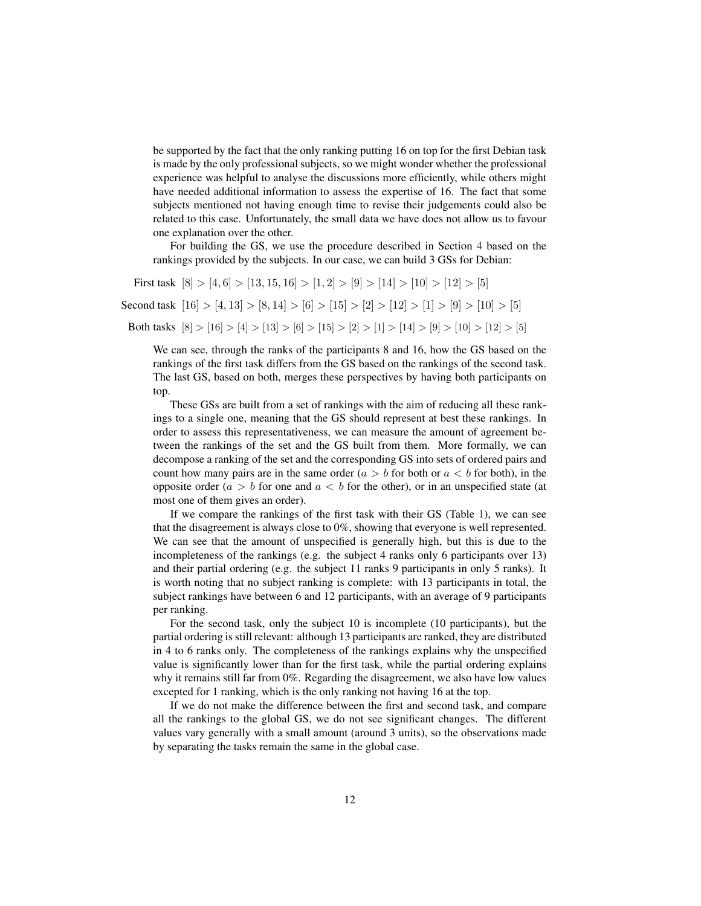be supported by the fact that the only ranking putting 16 on top for the first Debian task is made by the only professional subjects, so we might wonder whether the professional experience was helpful to analyse the discussions more efficiently, while others might have needed additional information to assess the expertise of 16. The fact that some subjects mentioned not having enough time to revise their judgements could also be related to this case. Unfortunately, the small data we have does not allow us to favour one explanation over the other.

For building the GS, we use the procedure described in Section [4](#page-5-0) based on the rankings provided by the subjects. In our case, we can build 3 GSs for Debian:

First task  $[8] > [4, 6] > [13, 15, 16] > [1, 2] > [9] > [14] > [10] > [12] > [5]$ Second task  $[16] > [4, 13] > [8, 14] > [6] > [15] > [2] > [12] > [1] > [9] > [10] > [5]$ Both tasks  $[8] > [16] > [4] > [13] > [6] > [15] > [2] > [1] > [14] > [9] > [10] > [12] > [5]$ 

We can see, through the ranks of the participants 8 and 16, how the GS based on the rankings of the first task differs from the GS based on the rankings of the second task. The last GS, based on both, merges these perspectives by having both participants on top.

These GSs are built from a set of rankings with the aim of reducing all these rankings to a single one, meaning that the GS should represent at best these rankings. In order to assess this representativeness, we can measure the amount of agreement between the rankings of the set and the GS built from them. More formally, we can decompose a ranking of the set and the corresponding GS into sets of ordered pairs and count how many pairs are in the same order  $(a > b$  for both or  $a < b$  for both), in the opposite order ( $a > b$  for one and  $a < b$  for the other), or in an unspecified state (at most one of them gives an order).

If we compare the rankings of the first task with their GS (Table [1\)](#page-12-0), we can see that the disagreement is always close to 0%, showing that everyone is well represented. We can see that the amount of unspecified is generally high, but this is due to the incompleteness of the rankings (e.g. the subject 4 ranks only 6 participants over 13) and their partial ordering (e.g. the subject 11 ranks 9 participants in only 5 ranks). It is worth noting that no subject ranking is complete: with 13 participants in total, the subject rankings have between 6 and 12 participants, with an average of 9 participants per ranking.

For the second task, only the subject 10 is incomplete (10 participants), but the partial ordering is still relevant: although 13 participants are ranked, they are distributed in 4 to 6 ranks only. The completeness of the rankings explains why the unspecified value is significantly lower than for the first task, while the partial ordering explains why it remains still far from 0%. Regarding the disagreement, we also have low values excepted for 1 ranking, which is the only ranking not having 16 at the top.

If we do not make the difference between the first and second task, and compare all the rankings to the global GS, we do not see significant changes. The different values vary generally with a small amount (around 3 units), so the observations made by separating the tasks remain the same in the global case.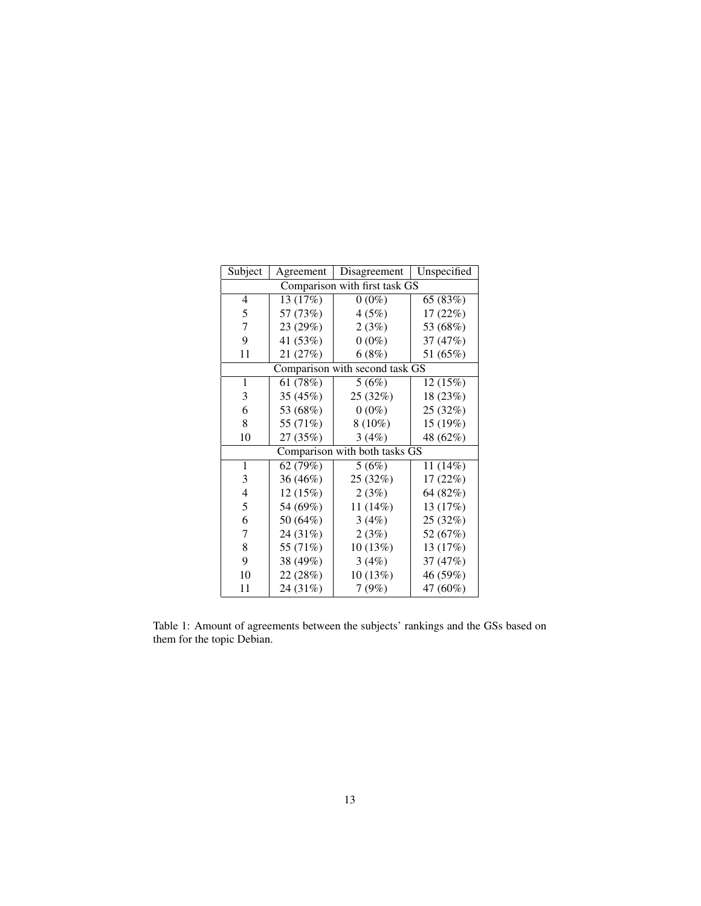<span id="page-12-0"></span>

| Subject                       | Agreement | Disagreement                   | Unspecified |  |  |  |  |
|-------------------------------|-----------|--------------------------------|-------------|--|--|--|--|
| Comparison with first task GS |           |                                |             |  |  |  |  |
| 4                             | 13 (17%)  | $0(0\%)$                       | 65 (83%)    |  |  |  |  |
| 5                             | 57 (73%)  | 4(5%)                          | 17 (22%)    |  |  |  |  |
| 7                             | 23 (29%)  | 2(3%)                          | 53 (68%)    |  |  |  |  |
| 9                             | 41 (53%)  | $0(0\%)$                       | 37 (47%)    |  |  |  |  |
| 11                            | 21 (27%)  | 6(8%)                          | 51 (65%)    |  |  |  |  |
|                               |           | Comparison with second task GS |             |  |  |  |  |
| $\mathbf{1}$                  | 61 (78%)  | 5(6%)                          | 12(15%)     |  |  |  |  |
| 3                             | 35 (45%)  | 25 (32%)                       | 18 (23%)    |  |  |  |  |
| 6                             | 53 (68%)  | $0(0\%)$                       | 25 (32%)    |  |  |  |  |
| 8                             | 55 (71%)  | $8(10\%)$                      | 15 (19%)    |  |  |  |  |
| 10                            | 27 (35%)  | 3(4%)                          | 48 (62%)    |  |  |  |  |
|                               |           | Comparison with both tasks GS  |             |  |  |  |  |
| $\mathbf{1}$                  | 62 (79%)  | 5(6%)                          | 11 (14%)    |  |  |  |  |
| 3                             | 36 (46%)  | 25 (32%)                       | 17 (22%)    |  |  |  |  |
| 4                             | 12 (15%)  | 2(3%)                          | 64 (82%)    |  |  |  |  |
| 5                             | 54 (69%)  | 11 (14%)                       | 13 (17%)    |  |  |  |  |
| 6                             | 50 (64%)  | 3(4%)                          | 25 (32%)    |  |  |  |  |
| 7                             | 24 (31%)  | 2(3%)                          | 52 (67%)    |  |  |  |  |
| 8                             | 55 (71%)  | 10 (13%)                       | 13 (17%)    |  |  |  |  |
| 9                             | 38 (49%)  | 3(4%)                          | 37 (47%)    |  |  |  |  |
| 10                            | 22 (28%)  | 10 (13%)                       | 46 (59%)    |  |  |  |  |
| 11                            | 24 (31%)  | 7(9%)                          | 47 (60%)    |  |  |  |  |

Table 1: Amount of agreements between the subjects' rankings and the GSs based on them for the topic Debian.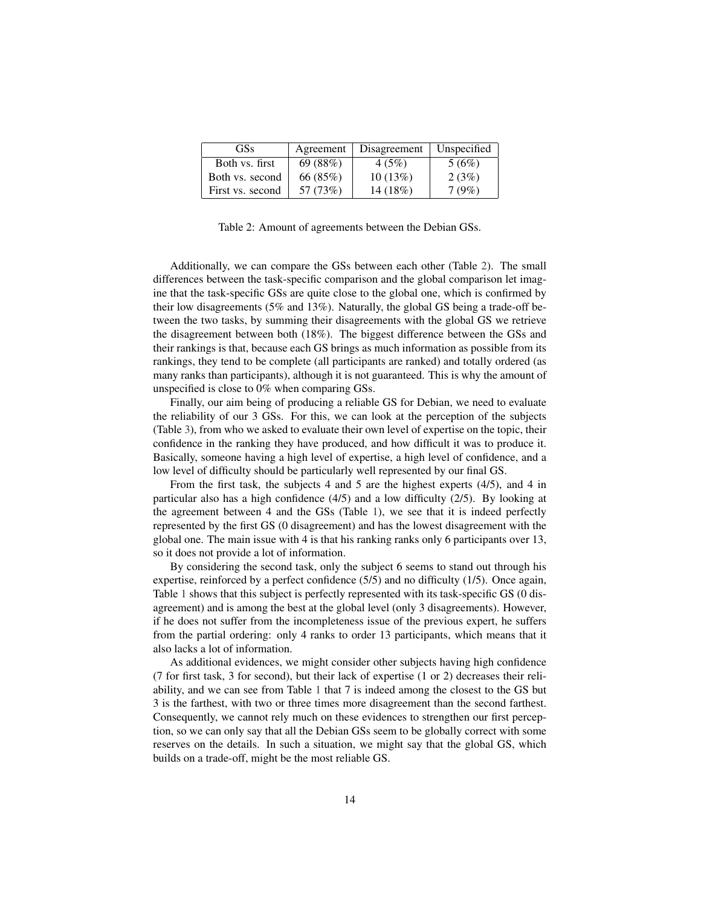<span id="page-13-0"></span>

| <b>GSs</b>       | Agreement | Disagreement | Unspecified |
|------------------|-----------|--------------|-------------|
| Both vs. first   | 69 (88%)  | 4(5%)        | 5(6%)       |
| Both vs. second  | 66 (85%)  | 10(13%)      | 2(3%)       |
| First vs. second | 57 (73%)  | 14 (18%)     | 7(9%)       |

Table 2: Amount of agreements between the Debian GSs.

Additionally, we can compare the GSs between each other (Table [2\)](#page-13-0). The small differences between the task-specific comparison and the global comparison let imagine that the task-specific GSs are quite close to the global one, which is confirmed by their low disagreements (5% and 13%). Naturally, the global GS being a trade-off between the two tasks, by summing their disagreements with the global GS we retrieve the disagreement between both (18%). The biggest difference between the GSs and their rankings is that, because each GS brings as much information as possible from its rankings, they tend to be complete (all participants are ranked) and totally ordered (as many ranks than participants), although it is not guaranteed. This is why the amount of unspecified is close to 0% when comparing GSs.

Finally, our aim being of producing a reliable GS for Debian, we need to evaluate the reliability of our 3 GSs. For this, we can look at the perception of the subjects (Table [3\)](#page-14-1), from who we asked to evaluate their own level of expertise on the topic, their confidence in the ranking they have produced, and how difficult it was to produce it. Basically, someone having a high level of expertise, a high level of confidence, and a low level of difficulty should be particularly well represented by our final GS.

From the first task, the subjects 4 and 5 are the highest experts (4/5), and 4 in particular also has a high confidence (4/5) and a low difficulty (2/5). By looking at the agreement between 4 and the GSs (Table [1\)](#page-12-0), we see that it is indeed perfectly represented by the first GS (0 disagreement) and has the lowest disagreement with the global one. The main issue with 4 is that his ranking ranks only 6 participants over 13, so it does not provide a lot of information.

By considering the second task, only the subject 6 seems to stand out through his expertise, reinforced by a perfect confidence (5/5) and no difficulty (1/5). Once again, Table [1](#page-12-0) shows that this subject is perfectly represented with its task-specific GS (0 disagreement) and is among the best at the global level (only 3 disagreements). However, if he does not suffer from the incompleteness issue of the previous expert, he suffers from the partial ordering: only 4 ranks to order 13 participants, which means that it also lacks a lot of information.

As additional evidences, we might consider other subjects having high confidence (7 for first task, 3 for second), but their lack of expertise (1 or 2) decreases their reliability, and we can see from Table [1](#page-12-0) that 7 is indeed among the closest to the GS but 3 is the farthest, with two or three times more disagreement than the second farthest. Consequently, we cannot rely much on these evidences to strengthen our first perception, so we can only say that all the Debian GSs seem to be globally correct with some reserves on the details. In such a situation, we might say that the global GS, which builds on a trade-off, might be the most reliable GS.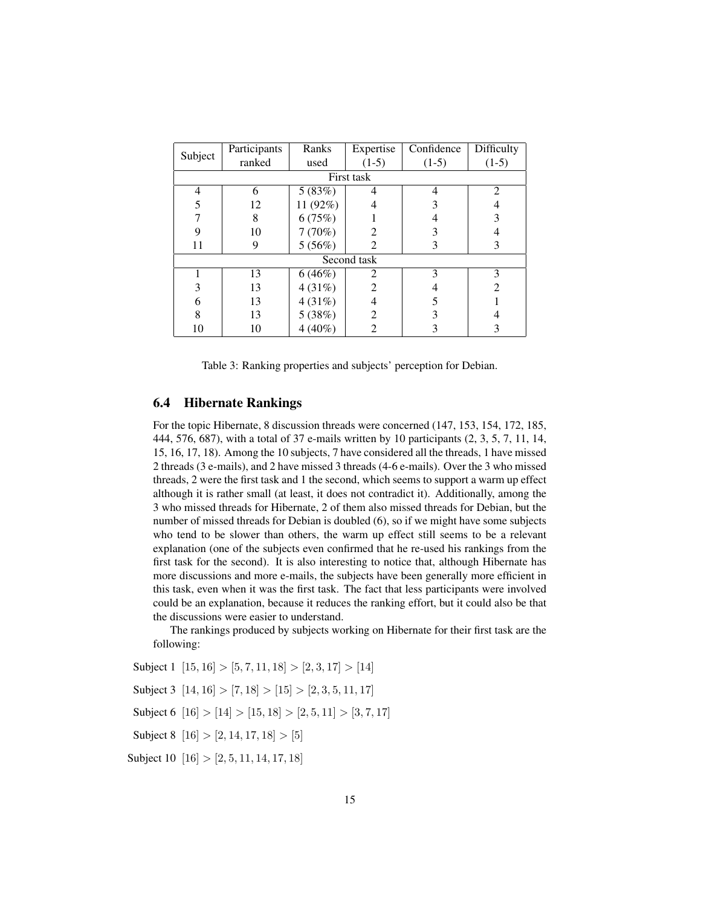<span id="page-14-1"></span>

| Subject | Participants | Ranks     | Expertise      | Confidence | Difficulty     |  |  |  |  |
|---------|--------------|-----------|----------------|------------|----------------|--|--|--|--|
|         | ranked       | used      | $(1-5)$        | $(1-5)$    | $(1-5)$        |  |  |  |  |
|         | First task   |           |                |            |                |  |  |  |  |
| 4       | 6            | 5(83%)    | 4              | 4          | $\mathfrak{D}$ |  |  |  |  |
| 5       | 12           | 11 (92%)  |                | 3          |                |  |  |  |  |
|         | 8            | 6(75%)    |                |            | 3              |  |  |  |  |
| 9       | 10           | 7(70%)    |                | 3          |                |  |  |  |  |
| 11      | 9            | 5(56%)    | $\mathfrak{D}$ | 3          | 3              |  |  |  |  |
|         |              |           | Second task    |            |                |  |  |  |  |
|         | 13           | 6(46%)    | 2              | 3          | 3              |  |  |  |  |
| 3       | 13           | 4(31%)    | $\mathfrak{D}$ |            | $\mathfrak{D}$ |  |  |  |  |
| 6       | 13           | 4(31%)    | 4              | 5          |                |  |  |  |  |
| 8       | 13           | 5(38%)    | $\overline{2}$ | 3          |                |  |  |  |  |
| 10      | 10           | $4(40\%)$ | 2              | 3          | 3              |  |  |  |  |

Table 3: Ranking properties and subjects' perception for Debian.

## <span id="page-14-0"></span>6.4 Hibernate Rankings

For the topic Hibernate, 8 discussion threads were concerned (147, 153, 154, 172, 185, 444, 576, 687), with a total of 37 e-mails written by 10 participants (2, 3, 5, 7, 11, 14, 15, 16, 17, 18). Among the 10 subjects, 7 have considered all the threads, 1 have missed 2 threads (3 e-mails), and 2 have missed 3 threads (4-6 e-mails). Over the 3 who missed threads, 2 were the first task and 1 the second, which seems to support a warm up effect although it is rather small (at least, it does not contradict it). Additionally, among the 3 who missed threads for Hibernate, 2 of them also missed threads for Debian, but the number of missed threads for Debian is doubled (6), so if we might have some subjects who tend to be slower than others, the warm up effect still seems to be a relevant explanation (one of the subjects even confirmed that he re-used his rankings from the first task for the second). It is also interesting to notice that, although Hibernate has more discussions and more e-mails, the subjects have been generally more efficient in this task, even when it was the first task. The fact that less participants were involved could be an explanation, because it reduces the ranking effort, but it could also be that the discussions were easier to understand.

The rankings produced by subjects working on Hibernate for their first task are the following:

Subject 1  $[15, 16] > [5, 7, 11, 18] > [2, 3, 17] > [14]$ Subject 3  $[14, 16] > [7, 18] > [15] > [2, 3, 5, 11, 17]$ Subject 6  $[16] > [14] > [15, 18] > [2, 5, 11] > [3, 7, 17]$ Subject 8  $[16] > [2, 14, 17, 18] > [5]$ Subject 10  $[16] > [2, 5, 11, 14, 17, 18]$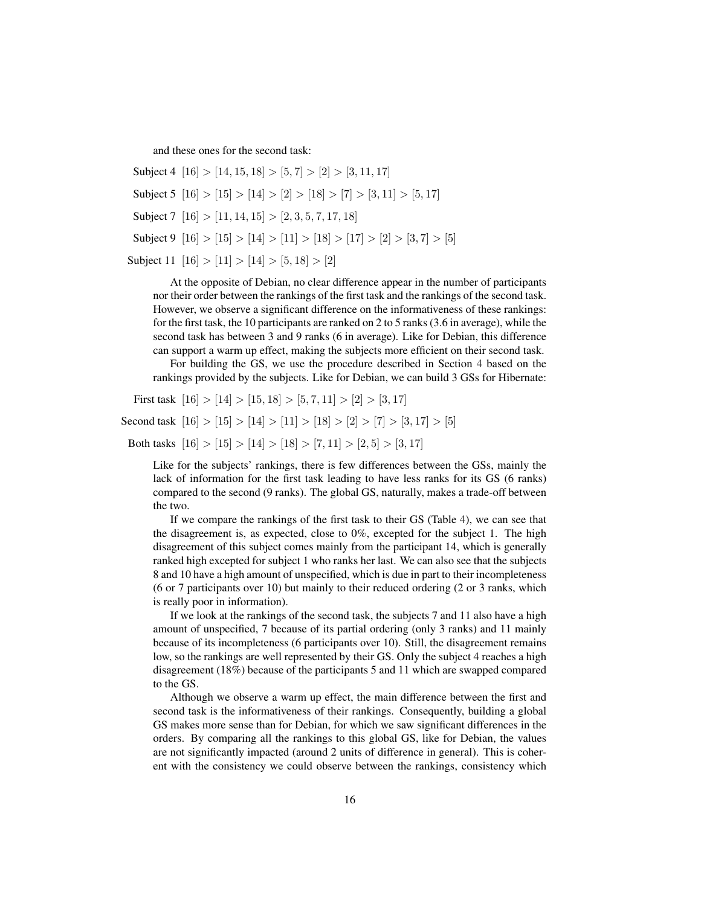and these ones for the second task:

Subject 4 [16] > [14, 15, 18] > [5, 7] > [2] > [3, 11, 17] Subject 5  $[16] > [15] > [14] > [2] > [18] > [7] > [3, 11] > [5, 17]$ Subject 7  $[16] > [11, 14, 15] > [2, 3, 5, 7, 17, 18]$ Subject 9  $|16| > |15| > |14| > |11| > |18| > |17| > |2| > |3, 7| > |5|$ Subject 11  $[16] > [11] > [14] > [5, 18] > [2]$ 

At the opposite of Debian, no clear difference appear in the number of participants nor their order between the rankings of the first task and the rankings of the second task. However, we observe a significant difference on the informativeness of these rankings: for the first task, the 10 participants are ranked on 2 to 5 ranks (3.6 in average), while the second task has between 3 and 9 ranks (6 in average). Like for Debian, this difference can support a warm up effect, making the subjects more efficient on their second task.

For building the GS, we use the procedure described in Section [4](#page-5-0) based on the rankings provided by the subjects. Like for Debian, we can build 3 GSs for Hibernate:

First task  $[16] > [14] > [15, 18] > [5, 7, 11] > [2] > [3, 17]$ 

Second task  $|16| > |15| > |14| > |11| > |18| > |2| > |7| > |3, 17| > |5|$ 

Both tasks  $[16] > [15] > [14] > [18] > [7, 11] > [2, 5] > [3, 17]$ 

Like for the subjects' rankings, there is few differences between the GSs, mainly the lack of information for the first task leading to have less ranks for its GS (6 ranks) compared to the second (9 ranks). The global GS, naturally, makes a trade-off between the two.

If we compare the rankings of the first task to their GS (Table [4\)](#page-16-0), we can see that the disagreement is, as expected, close to 0%, excepted for the subject 1. The high disagreement of this subject comes mainly from the participant 14, which is generally ranked high excepted for subject 1 who ranks her last. We can also see that the subjects 8 and 10 have a high amount of unspecified, which is due in part to their incompleteness (6 or 7 participants over 10) but mainly to their reduced ordering (2 or 3 ranks, which is really poor in information).

If we look at the rankings of the second task, the subjects 7 and 11 also have a high amount of unspecified, 7 because of its partial ordering (only 3 ranks) and 11 mainly because of its incompleteness (6 participants over 10). Still, the disagreement remains low, so the rankings are well represented by their GS. Only the subject 4 reaches a high disagreement (18%) because of the participants 5 and 11 which are swapped compared to the GS.

Although we observe a warm up effect, the main difference between the first and second task is the informativeness of their rankings. Consequently, building a global GS makes more sense than for Debian, for which we saw significant differences in the orders. By comparing all the rankings to this global GS, like for Debian, the values are not significantly impacted (around 2 units of difference in general). This is coherent with the consistency we could observe between the rankings, consistency which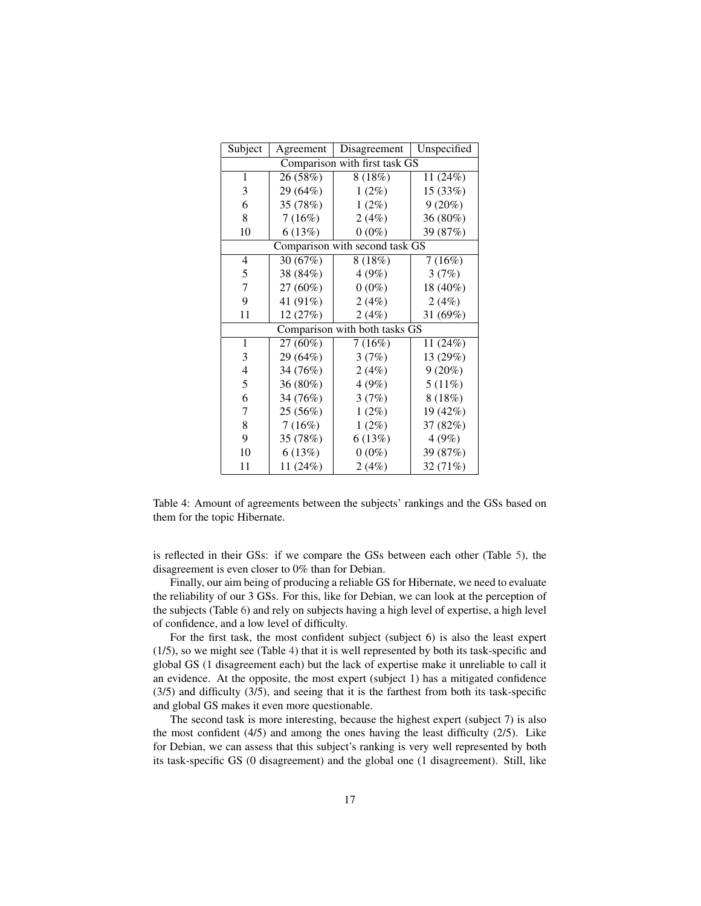<span id="page-16-0"></span>

| Subject                       | Agreement | Disagreement                   | Unspecified |  |  |  |  |
|-------------------------------|-----------|--------------------------------|-------------|--|--|--|--|
| Comparison with first task GS |           |                                |             |  |  |  |  |
| 1                             | 26(58%)   | 8(18%)                         | 11 (24%)    |  |  |  |  |
| 3                             | 29 (64%)  | $1(2\%)$                       | 15 (33%)    |  |  |  |  |
| 6                             | 35 (78%)  | $1(2\%)$                       | 9(20%)      |  |  |  |  |
| 8                             | 7(16%)    | 2(4%)                          | 36 (80%)    |  |  |  |  |
| 10                            | 6(13%)    | $0(0\%)$                       | 39 (87%)    |  |  |  |  |
|                               |           | Comparison with second task GS |             |  |  |  |  |
| 4                             | 30 (67%)  | 8(18%)                         | 7(16%)      |  |  |  |  |
| $\mathfrak s$                 | 38 (84%)  | 4(9%)                          | 3(7%)       |  |  |  |  |
| $\overline{7}$                | 27 (60%)  | $0(0\%)$                       | 18 (40%)    |  |  |  |  |
| 9                             | 41 (91%)  | 2(4%)                          | 2(4%)       |  |  |  |  |
| 11                            | 12 (27%)  | 2(4%)                          | 31 (69%)    |  |  |  |  |
|                               |           | Comparison with both tasks GS  |             |  |  |  |  |
| $\mathbf{1}$                  | 27 (60%)  | 7(16%)                         | 11 (24%)    |  |  |  |  |
| 3                             | 29 (64%)  | 3(7%)                          | 13 (29%)    |  |  |  |  |
| $\overline{4}$                | 34 (76%)  | 2(4%)                          | $9(20\%)$   |  |  |  |  |
| 5                             | 36 (80%)  | 4(9%)                          | 5(11%)      |  |  |  |  |
| 6                             | 34 (76%)  | 3(7%)                          | 8(18%)      |  |  |  |  |
| 7                             | 25 (56%)  | $1(2\%)$                       | 19 (42%)    |  |  |  |  |
| 8                             | 7(16%)    | $1(2\%)$                       | 37 (82%)    |  |  |  |  |
| 9                             | 35 (78%)  | 6(13%)                         | 4(9%)       |  |  |  |  |
| 10                            | 6(13%)    | $0(0\%)$                       | 39 (87%)    |  |  |  |  |
| 11                            | 11 (24%)  | 2(4%)                          | 32 (71%)    |  |  |  |  |

Table 4: Amount of agreements between the subjects' rankings and the GSs based on them for the topic Hibernate.

is reflected in their GSs: if we compare the GSs between each other (Table [5\)](#page-17-1), the disagreement is even closer to 0% than for Debian.

Finally, our aim being of producing a reliable GS for Hibernate, we need to evaluate the reliability of our 3 GSs. For this, like for Debian, we can look at the perception of the subjects (Table [6\)](#page-17-2) and rely on subjects having a high level of expertise, a high level of confidence, and a low level of difficulty.

For the first task, the most confident subject (subject 6) is also the least expert (1/5), so we might see (Table [4\)](#page-16-0) that it is well represented by both its task-specific and global GS (1 disagreement each) but the lack of expertise make it unreliable to call it an evidence. At the opposite, the most expert (subject 1) has a mitigated confidence (3/5) and difficulty (3/5), and seeing that it is the farthest from both its task-specific and global GS makes it even more questionable.

The second task is more interesting, because the highest expert (subject 7) is also the most confident  $(4/5)$  and among the ones having the least difficulty  $(2/5)$ . Like for Debian, we can assess that this subject's ranking is very well represented by both its task-specific GS (0 disagreement) and the global one (1 disagreement). Still, like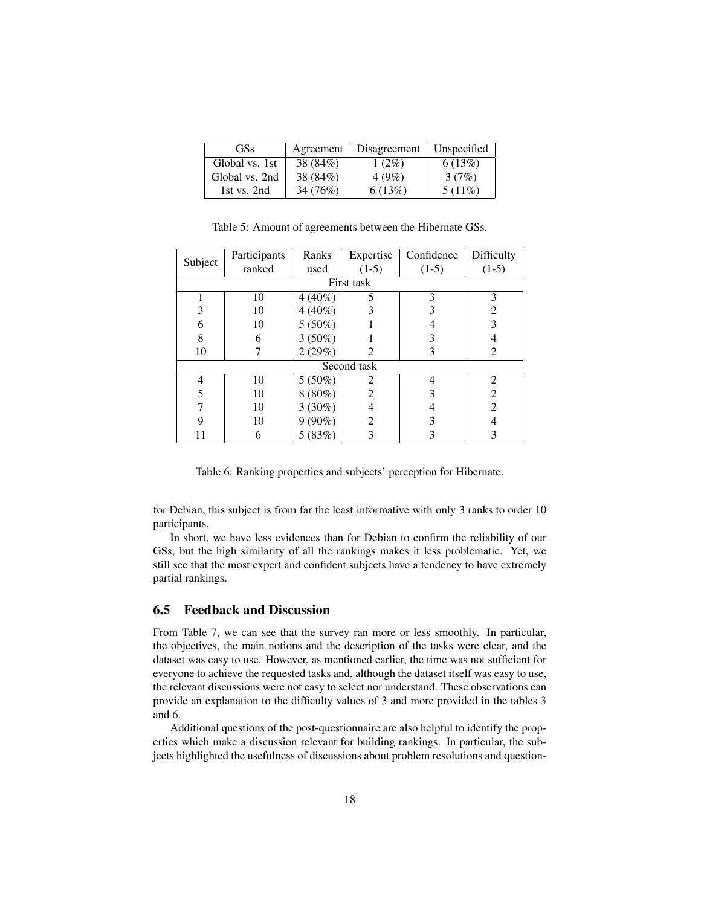<span id="page-17-1"></span>

| <b>GSs</b>     | Agreement | Disagreement | Unspecified |
|----------------|-----------|--------------|-------------|
| Global vs. 1st | 38 (84%)  | $1(2\%)$     | 6(13%)      |
| Global vs. 2nd | 38 (84%)  | 4(9%)        | 3(7%)       |
| 1st vs. 2nd    | 34 (76%)  | 6(13%)       | $5(11\%)$   |

<span id="page-17-2"></span>Subject Participants Ranks Expertise Confidence Difficulty ranked used  $(1-5)$   $(1-5)$   $(1-5)$   $(1-5)$ First task  $1 \t 10 \t 4 (40\%) \t 5 \t 3 \t 3$  $3 \mid 10 \mid 4(40\%) \mid 3 \mid 3 \mid 2$ 6 10  $5(50\%)$  1 4 3 8 6 3 (50%) 1 3 4  $10 \mid 7 \mid 2(29\%) \mid 2 \mid 3 \mid 2$ Second task 4 10 5 (50%) 2 4 2  $5 \quad | \quad 10 \quad | \quad 8 \, (80\%) \quad | \quad 2 \quad | \quad 3 \quad | \quad 2$  $7 \quad | \quad 10 \quad | \quad 3 \, (30\%) \quad | \quad 4 \quad | \quad 4 \quad | \quad 2$ 9  $10 \t9(90\%)$  2 3 4  $11 \t6 \t5 (83\%) \t3 \t3 \t3$ 

Table 5: Amount of agreements between the Hibernate GSs.

Table 6: Ranking properties and subjects' perception for Hibernate.

for Debian, this subject is from far the least informative with only 3 ranks to order 10 participants.

In short, we have less evidences than for Debian to confirm the reliability of our GSs, but the high similarity of all the rankings makes it less problematic. Yet, we still see that the most expert and confident subjects have a tendency to have extremely partial rankings.

## <span id="page-17-0"></span>6.5 Feedback and Discussion

From Table [7,](#page-18-0) we can see that the survey ran more or less smoothly. In particular, the objectives, the main notions and the description of the tasks were clear, and the dataset was easy to use. However, as mentioned earlier, the time was not sufficient for everyone to achieve the requested tasks and, although the dataset itself was easy to use, the relevant discussions were not easy to select nor understand. These observations can provide an explanation to the difficulty values of 3 and more provided in the tables [3](#page-14-1) and [6.](#page-17-2)

Additional questions of the post-questionnaire are also helpful to identify the properties which make a discussion relevant for building rankings. In particular, the subjects highlighted the usefulness of discussions about problem resolutions and question-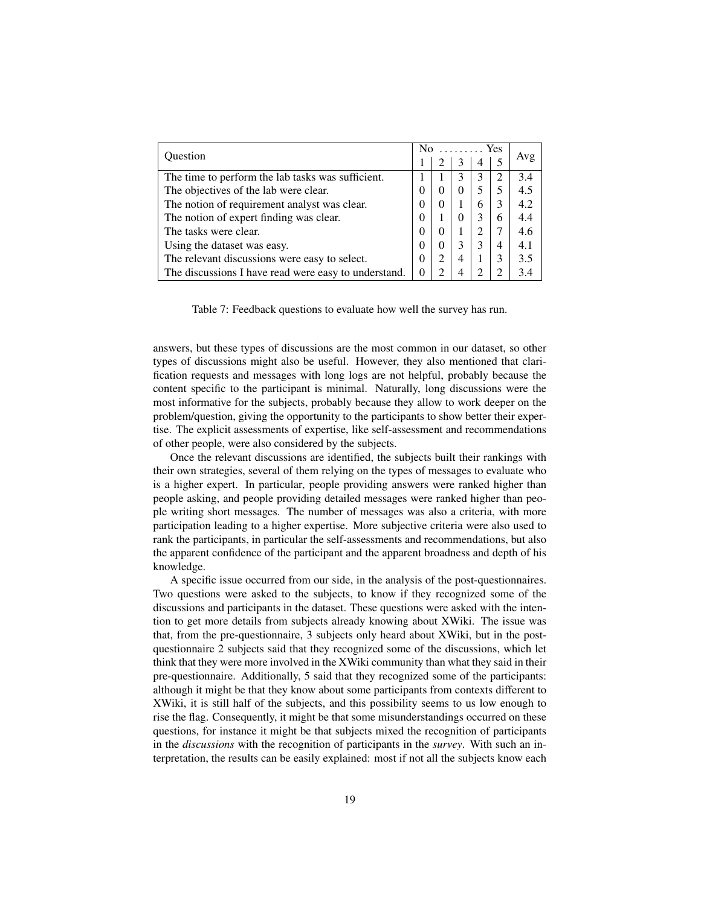<span id="page-18-0"></span>

| Ouestion                                             |          | N <sub>0</sub><br>$\ldots \ldots$ . Yes |          |   |                |     |
|------------------------------------------------------|----------|-----------------------------------------|----------|---|----------------|-----|
|                                                      |          |                                         |          |   |                | Avg |
| The time to perform the lab tasks was sufficient.    |          |                                         | 3        |   | $\mathfrak{D}$ | 3.4 |
| The objectives of the lab were clear.                | 0        | $\theta$                                | $\Omega$ |   |                | 4.5 |
| The notion of requirement analyst was clear.         | 0        | $\theta$                                |          | 6 | 3              | 4.2 |
| The notion of expert finding was clear.              | 0        |                                         | 0        |   | 6              | 4.4 |
| The tasks were clear.                                |          | $\theta$                                |          |   |                | 4.6 |
| Using the dataset was easy.                          | 0        | 0                                       | 3        |   | 4              | 4.1 |
| The relevant discussions were easy to select.        | $\theta$ | $\overline{2}$                          | 4        |   | 3              | 3.5 |
| The discussions I have read were easy to understand. | 0        |                                         |          |   |                | 3.4 |

Table 7: Feedback questions to evaluate how well the survey has run.

answers, but these types of discussions are the most common in our dataset, so other types of discussions might also be useful. However, they also mentioned that clarification requests and messages with long logs are not helpful, probably because the content specific to the participant is minimal. Naturally, long discussions were the most informative for the subjects, probably because they allow to work deeper on the problem/question, giving the opportunity to the participants to show better their expertise. The explicit assessments of expertise, like self-assessment and recommendations of other people, were also considered by the subjects.

Once the relevant discussions are identified, the subjects built their rankings with their own strategies, several of them relying on the types of messages to evaluate who is a higher expert. In particular, people providing answers were ranked higher than people asking, and people providing detailed messages were ranked higher than people writing short messages. The number of messages was also a criteria, with more participation leading to a higher expertise. More subjective criteria were also used to rank the participants, in particular the self-assessments and recommendations, but also the apparent confidence of the participant and the apparent broadness and depth of his knowledge.

A specific issue occurred from our side, in the analysis of the post-questionnaires. Two questions were asked to the subjects, to know if they recognized some of the discussions and participants in the dataset. These questions were asked with the intention to get more details from subjects already knowing about XWiki. The issue was that, from the pre-questionnaire, 3 subjects only heard about XWiki, but in the postquestionnaire 2 subjects said that they recognized some of the discussions, which let think that they were more involved in the XWiki community than what they said in their pre-questionnaire. Additionally, 5 said that they recognized some of the participants: although it might be that they know about some participants from contexts different to XWiki, it is still half of the subjects, and this possibility seems to us low enough to rise the flag. Consequently, it might be that some misunderstandings occurred on these questions, for instance it might be that subjects mixed the recognition of participants in the *discussions* with the recognition of participants in the *survey*. With such an interpretation, the results can be easily explained: most if not all the subjects know each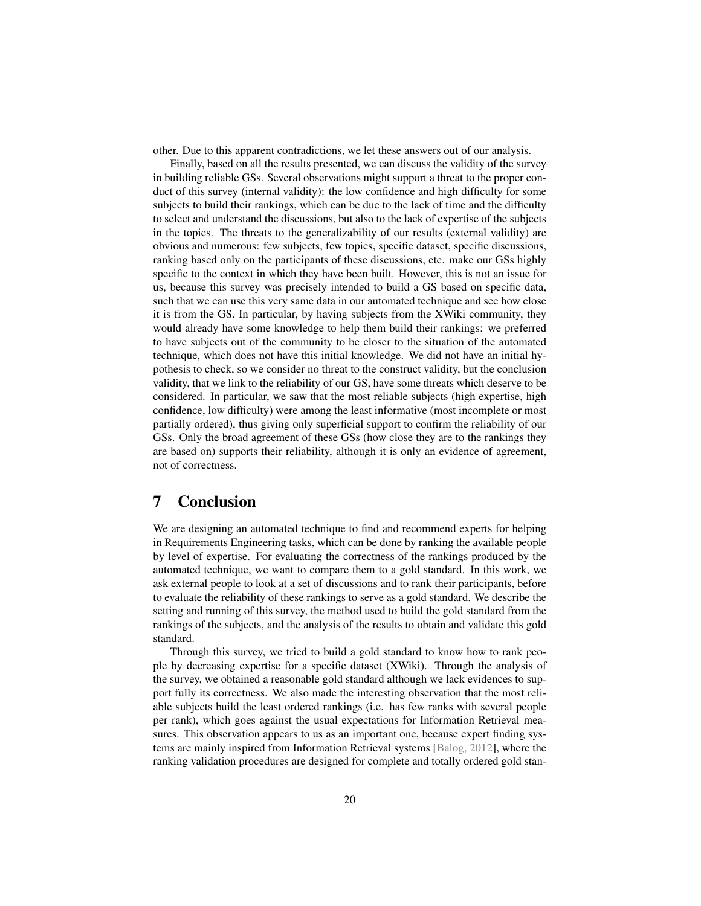other. Due to this apparent contradictions, we let these answers out of our analysis.

Finally, based on all the results presented, we can discuss the validity of the survey in building reliable GSs. Several observations might support a threat to the proper conduct of this survey (internal validity): the low confidence and high difficulty for some subjects to build their rankings, which can be due to the lack of time and the difficulty to select and understand the discussions, but also to the lack of expertise of the subjects in the topics. The threats to the generalizability of our results (external validity) are obvious and numerous: few subjects, few topics, specific dataset, specific discussions, ranking based only on the participants of these discussions, etc. make our GSs highly specific to the context in which they have been built. However, this is not an issue for us, because this survey was precisely intended to build a GS based on specific data, such that we can use this very same data in our automated technique and see how close it is from the GS. In particular, by having subjects from the XWiki community, they would already have some knowledge to help them build their rankings: we preferred to have subjects out of the community to be closer to the situation of the automated technique, which does not have this initial knowledge. We did not have an initial hypothesis to check, so we consider no threat to the construct validity, but the conclusion validity, that we link to the reliability of our GS, have some threats which deserve to be considered. In particular, we saw that the most reliable subjects (high expertise, high confidence, low difficulty) were among the least informative (most incomplete or most partially ordered), thus giving only superficial support to confirm the reliability of our GSs. Only the broad agreement of these GSs (how close they are to the rankings they are based on) supports their reliability, although it is only an evidence of agreement, not of correctness.

## 7 Conclusion

We are designing an automated technique to find and recommend experts for helping in Requirements Engineering tasks, which can be done by ranking the available people by level of expertise. For evaluating the correctness of the rankings produced by the automated technique, we want to compare them to a gold standard. In this work, we ask external people to look at a set of discussions and to rank their participants, before to evaluate the reliability of these rankings to serve as a gold standard. We describe the setting and running of this survey, the method used to build the gold standard from the rankings of the subjects, and the analysis of the results to obtain and validate this gold standard.

Through this survey, we tried to build a gold standard to know how to rank people by decreasing expertise for a specific dataset (XWiki). Through the analysis of the survey, we obtained a reasonable gold standard although we lack evidences to support fully its correctness. We also made the interesting observation that the most reliable subjects build the least ordered rankings (i.e. has few ranks with several people per rank), which goes against the usual expectations for Information Retrieval measures. This observation appears to us as an important one, because expert finding systems are mainly inspired from Information Retrieval systems [\[Balog, 2012\]](#page-20-2), where the ranking validation procedures are designed for complete and totally ordered gold stan